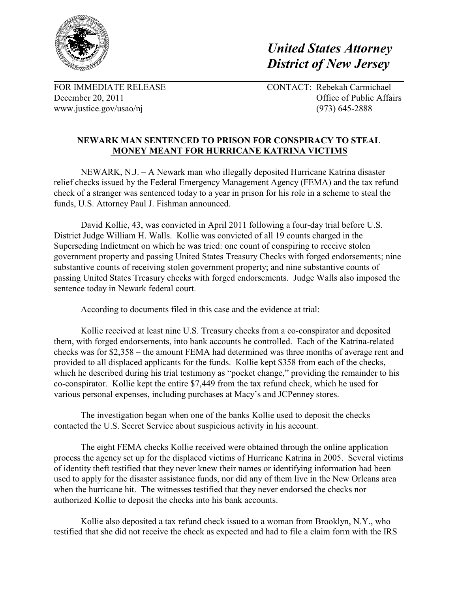

*United States Attorney District of New Jersey* 

[www.justice.gov/usao/nj](http://www.justice.gov/usao/nj) (973) 645-2888

FOR IMMEDIATE RELEASE CONTACT: Rebekah Carmichael December 20, 2011 **December 20, 2011 Office of Public Affairs** 

## **NEWARK MAN SENTENCED TO PRISON FOR CONSPIRACY TO STEAL MONEY MEANT FOR HURRICANE KATRINA VICTIMS**

NEWARK, N.J. – A Newark man who illegally deposited Hurricane Katrina disaster relief checks issued by the Federal Emergency Management Agency (FEMA) and the tax refund check of a stranger was sentenced today to a year in prison for his role in a scheme to steal the funds, U.S. Attorney Paul J. Fishman announced.

David Kollie, 43, was convicted in April 2011 following a four-day trial before U.S. District Judge William H. Walls. Kollie was convicted of all 19 counts charged in the Superseding Indictment on which he was tried: one count of conspiring to receive stolen government property and passing United States Treasury Checks with forged endorsements; nine substantive counts of receiving stolen government property; and nine substantive counts of passing United States Treasury checks with forged endorsements. Judge Walls also imposed the sentence today in Newark federal court.

According to documents filed in this case and the evidence at trial:

Kollie received at least nine U.S. Treasury checks from a co-conspirator and deposited them, with forged endorsements, into bank accounts he controlled. Each of the Katrina-related checks was for \$2,358 – the amount FEMA had determined was three months of average rent and provided to all displaced applicants for the funds. Kollie kept \$358 from each of the checks, which he described during his trial testimony as "pocket change," providing the remainder to his co-conspirator. Kollie kept the entire \$7,449 from the tax refund check, which he used for various personal expenses, including purchases at Macy's and JCPenney stores.

The investigation began when one of the banks Kollie used to deposit the checks contacted the U.S. Secret Service about suspicious activity in his account.

The eight FEMA checks Kollie received were obtained through the online application process the agency set up for the displaced victims of Hurricane Katrina in 2005. Several victims of identity theft testified that they never knew their names or identifying information had been used to apply for the disaster assistance funds, nor did any of them live in the New Orleans area when the hurricane hit. The witnesses testified that they never endorsed the checks nor authorized Kollie to deposit the checks into his bank accounts.

Kollie also deposited a tax refund check issued to a woman from Brooklyn, N.Y., who testified that she did not receive the check as expected and had to file a claim form with the IRS